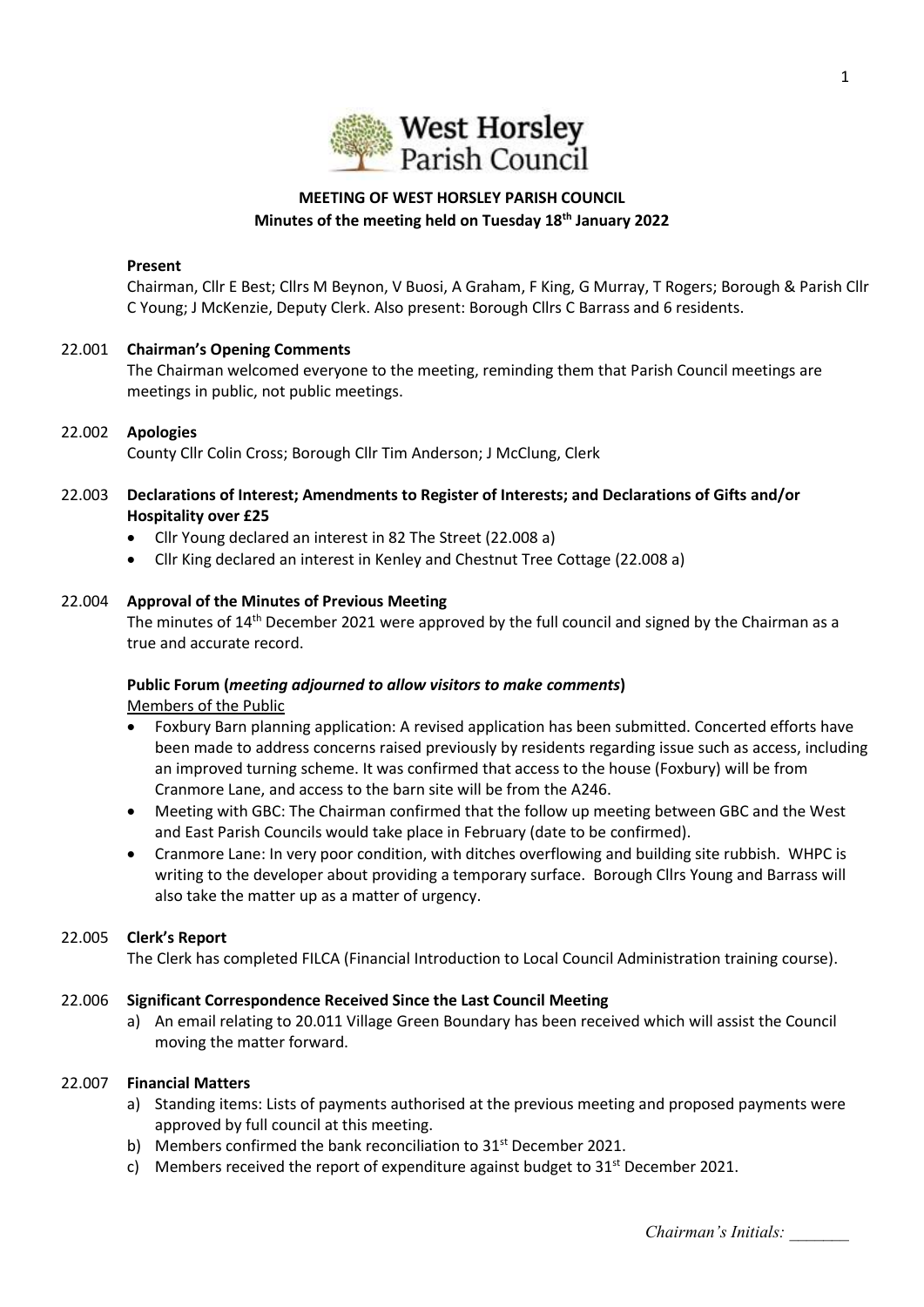

# **MEETING OF WEST HORSLEY PARISH COUNCIL Minutes of the meeting held on Tuesday 18th January 2022**

#### **Present**

Chairman, Cllr E Best; Cllrs M Beynon, V Buosi, A Graham, F King, G Murray, T Rogers; Borough & Parish Cllr C Young; J McKenzie, Deputy Clerk. Also present: Borough Cllrs C Barrass and 6 residents.

## 22.001 **Chairman's Opening Comments**

The Chairman welcomed everyone to the meeting, reminding them that Parish Council meetings are meetings in public, not public meetings.

### 22.002 **Apologies**

County Cllr Colin Cross; Borough Cllr Tim Anderson; J McClung, Clerk

- 22.003 **Declarations of Interest; Amendments to Register of Interests; and Declarations of Gifts and/or Hospitality over £25** 
	- Cllr Young declared an interest in 82 The Street (22.008 a)
	- Cllr King declared an interest in Kenley and Chestnut Tree Cottage (22.008 a)

### 22.004 **Approval of the Minutes of Previous Meeting**

The minutes of 14<sup>th</sup> December 2021 were approved by the full council and signed by the Chairman as a true and accurate record.

# **Public Forum (***meeting adjourned to allow visitors to make comments***)**

Members of the Public

- Foxbury Barn planning application: A revised application has been submitted. Concerted efforts have been made to address concerns raised previously by residents regarding issue such as access, including an improved turning scheme. It was confirmed that access to the house (Foxbury) will be from Cranmore Lane, and access to the barn site will be from the A246.
- Meeting with GBC: The Chairman confirmed that the follow up meeting between GBC and the West and East Parish Councils would take place in February (date to be confirmed).
- Cranmore Lane: In very poor condition, with ditches overflowing and building site rubbish. WHPC is writing to the developer about providing a temporary surface. Borough Cllrs Young and Barrass will also take the matter up as a matter of urgency.

### 22.005 **Clerk's Report**

The Clerk has completed FILCA (Financial Introduction to Local Council Administration training course).

### 22.006 **Significant Correspondence Received Since the Last Council Meeting**

a) An email relating to 20.011 Village Green Boundary has been received which will assist the Council moving the matter forward.

### 22.007 **Financial Matters**

- a) Standing items: Lists of payments authorised at the previous meeting and proposed payments were approved by full council at this meeting.
- b) Members confirmed the bank reconciliation to 31<sup>st</sup> December 2021.
- c) Members received the report of expenditure against budget to  $31<sup>st</sup>$  December 2021.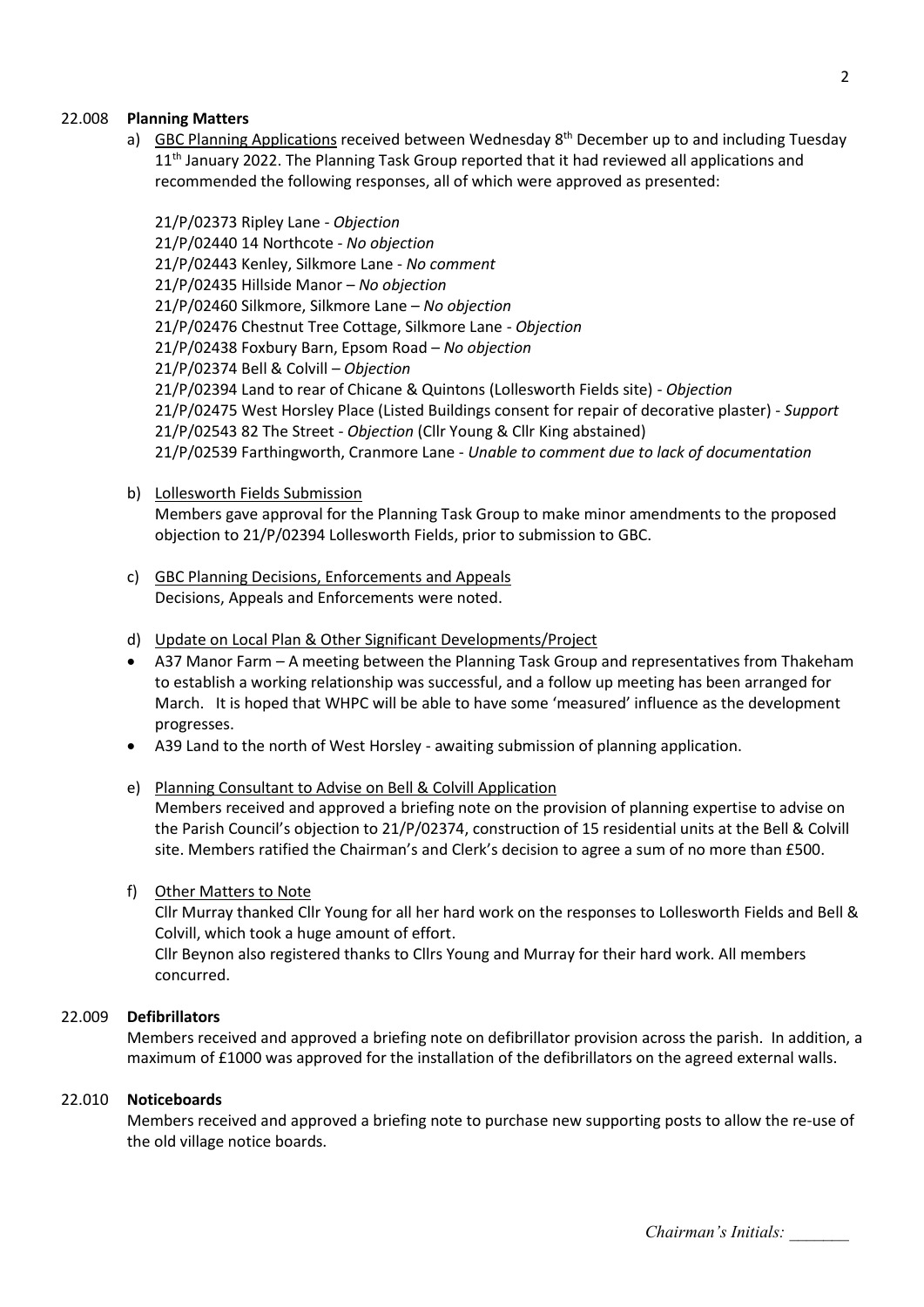### 22.008 **Planning Matters**

a) GBC Planning Applications received between Wednesday 8<sup>th</sup> December up to and including Tuesday  $11<sup>th</sup>$  January 2022. The Planning Task Group reported that it had reviewed all applications and recommended the following responses, all of which were approved as presented:

21/P/02373 Ripley Lane - *Objection* 21/P/02440 14 Northcote - *No objection* 21/P/02443 Kenley, Silkmore Lane - *No comment* 21/P/02435 Hillside Manor – *No objection* 21/P/02460 Silkmore, Silkmore Lane – *No objection* 21/P/02476 Chestnut Tree Cottage, Silkmore Lane - *Objection* 21/P/02438 Foxbury Barn, Epsom Road – *No objection* 21/P/02374 Bell & Colvill – *Objection* 21/P/02394 Land to rear of Chicane & Quintons (Lollesworth Fields site) - *Objection* 21/P/02475 West Horsley Place (Listed Buildings consent for repair of decorative plaster) - *Support* 21/P/02543 82 The Street - *Objection* (Cllr Young & Cllr King abstained) 21/P/02539 Farthingworth, Cranmore Lane - *Unable to comment due to lack of documentation*

#### b) Lollesworth Fields Submission

Members gave approval for the Planning Task Group to make minor amendments to the proposed objection to 21/P/02394 Lollesworth Fields, prior to submission to GBC.

c) GBC Planning Decisions, Enforcements and Appeals Decisions, Appeals and Enforcements were noted.

#### d) Update on Local Plan & Other Significant Developments/Project

- A37 Manor Farm A meeting between the Planning Task Group and representatives from Thakeham to establish a working relationship was successful, and a follow up meeting has been arranged for March. It is hoped that WHPC will be able to have some 'measured' influence as the development progresses.
- A39 Land to the north of West Horsley awaiting submission of planning application.
- e) Planning Consultant to Advise on Bell & Colvill Application

Members received and approved a briefing note on the provision of planning expertise to advise on the Parish Council's objection to 21/P/02374, construction of 15 residential units at the Bell & Colvill site. Members ratified the Chairman's and Clerk's decision to agree a sum of no more than £500.

f) Other Matters to Note

Cllr Murray thanked Cllr Young for all her hard work on the responses to Lollesworth Fields and Bell & Colvill, which took a huge amount of effort.

Cllr Beynon also registered thanks to Cllrs Young and Murray for their hard work. All members concurred.

#### 22.009 **Defibrillators**

Members received and approved a briefing note on defibrillator provision across the parish. In addition, a maximum of £1000 was approved for the installation of the defibrillators on the agreed external walls.

#### 22.010 **Noticeboards**

Members received and approved a briefing note to purchase new supporting posts to allow the re-use of the old village notice boards.

*Chairman's Initials: \_\_\_\_\_\_\_*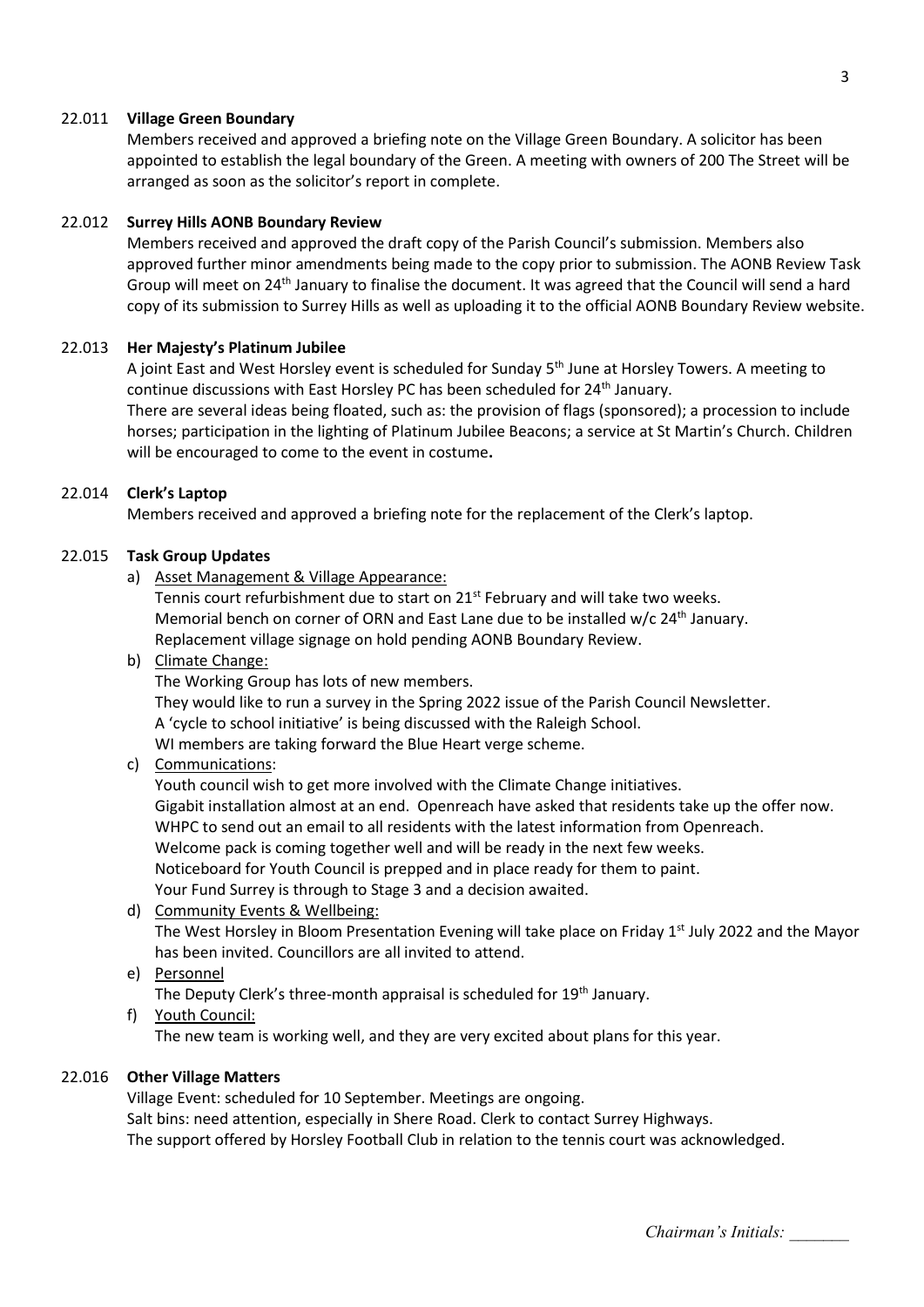#### 22.011 **Village Green Boundary**

Members received and approved a briefing note on the Village Green Boundary. A solicitor has been appointed to establish the legal boundary of the Green. A meeting with owners of 200 The Street will be arranged as soon as the solicitor's report in complete.

#### 22.012 **Surrey Hills AONB Boundary Review**

Members received and approved the draft copy of the Parish Council's submission. Members also approved further minor amendments being made to the copy prior to submission. The AONB Review Task Group will meet on 24<sup>th</sup> January to finalise the document. It was agreed that the Council will send a hard copy of its submission to Surrey Hills as well as uploading it to the official AONB Boundary Review website.

#### 22.013 **Her Majesty's Platinum Jubilee**

A joint East and West Horsley event is scheduled for Sunday 5th June at Horsley Towers. A meeting to continue discussions with East Horsley PC has been scheduled for 24<sup>th</sup> January.

There are several ideas being floated, such as: the provision of flags (sponsored); a procession to include horses; participation in the lighting of Platinum Jubilee Beacons; a service at St Martin's Church. Children will be encouraged to come to the event in costume**.** 

# 22.014 **Clerk's Laptop**

Members received and approved a briefing note for the replacement of the Clerk's laptop.

#### 22.015 **Task Group Updates**

a) Asset Management & Village Appearance:

Tennis court refurbishment due to start on 21<sup>st</sup> February and will take two weeks. Memorial bench on corner of ORN and East Lane due to be installed  $w/c$  24<sup>th</sup> January. Replacement village signage on hold pending AONB Boundary Review.

#### b) Climate Change:

The Working Group has lots of new members.

They would like to run a survey in the Spring 2022 issue of the Parish Council Newsletter.

A 'cycle to school initiative' is being discussed with the Raleigh School.

WI members are taking forward the Blue Heart verge scheme.

### c) Communications:

Youth council wish to get more involved with the Climate Change initiatives. Gigabit installation almost at an end. Openreach have asked that residents take up the offer now. WHPC to send out an email to all residents with the latest information from Openreach. Welcome pack is coming together well and will be ready in the next few weeks. Noticeboard for Youth Council is prepped and in place ready for them to paint. Your Fund Surrey is through to Stage 3 and a decision awaited.

### d) Community Events & Wellbeing:

The West Horsley in Bloom Presentation Evening will take place on Friday  $1<sup>st</sup>$  July 2022 and the Mayor has been invited. Councillors are all invited to attend.

e) Personnel

The Deputy Clerk's three-month appraisal is scheduled for 19<sup>th</sup> January.

f) Youth Council:

The new team is working well, and they are very excited about plans for this year.

#### 22.016 **Other Village Matters**

Village Event: scheduled for 10 September. Meetings are ongoing. Salt bins: need attention, especially in Shere Road. Clerk to contact Surrey Highways. The support offered by Horsley Football Club in relation to the tennis court was acknowledged.